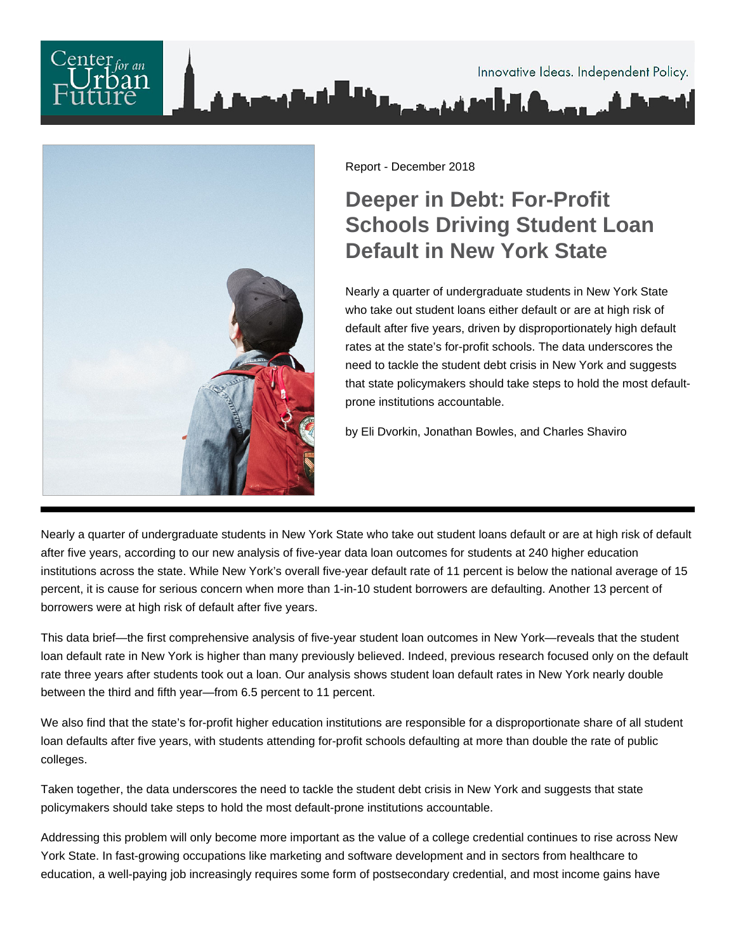# Innovative Ideas. Independent Policy.



Report - December 2018

# **Deeper in Debt: For-Profit Schools Driving Student Loan Default in New York State**

Nearly a quarter of undergraduate students in New York State who take out student loans either default or are at high risk of default after five years, driven by disproportionately high default rates at the state's for-profit schools. The data underscores the need to tackle the student debt crisis in New York and suggests that state policymakers should take steps to hold the most defaultprone institutions accountable.

by Eli Dvorkin, Jonathan Bowles, and Charles Shaviro

Nearly a quarter of undergraduate students in New York State who take out student loans default or are at high risk of default after five years, according to our new analysis of five-year data loan outcomes for students at 240 higher education institutions across the state. While New York's overall five-year default rate of 11 percent is below the national average of 15 percent, it is cause for serious concern when more than 1-in-10 student borrowers are defaulting. Another 13 percent of borrowers were at high risk of default after five years.

This data brief—the first comprehensive analysis of five-year student loan outcomes in New York—reveals that the student loan default rate in New York is higher than many previously believed. Indeed, previous research focused only on the default rate three years after students took out a loan. Our analysis shows student loan default rates in New York nearly double between the third and fifth year—from 6.5 percent to 11 percent.

We also find that the state's for-profit higher education institutions are responsible for a disproportionate share of all student loan defaults after five years, with students attending for-profit schools defaulting at more than double the rate of public colleges.

Taken together, the data underscores the need to tackle the student debt crisis in New York and suggests that state policymakers should take steps to hold the most default-prone institutions accountable.

Addressing this problem will only become more important as the value of a college credential continues to rise across New York State. In fast-growing occupations like marketing and software development and in sectors from healthcare to education, a well-paying job increasingly requires some form of postsecondary credential, and most income gains have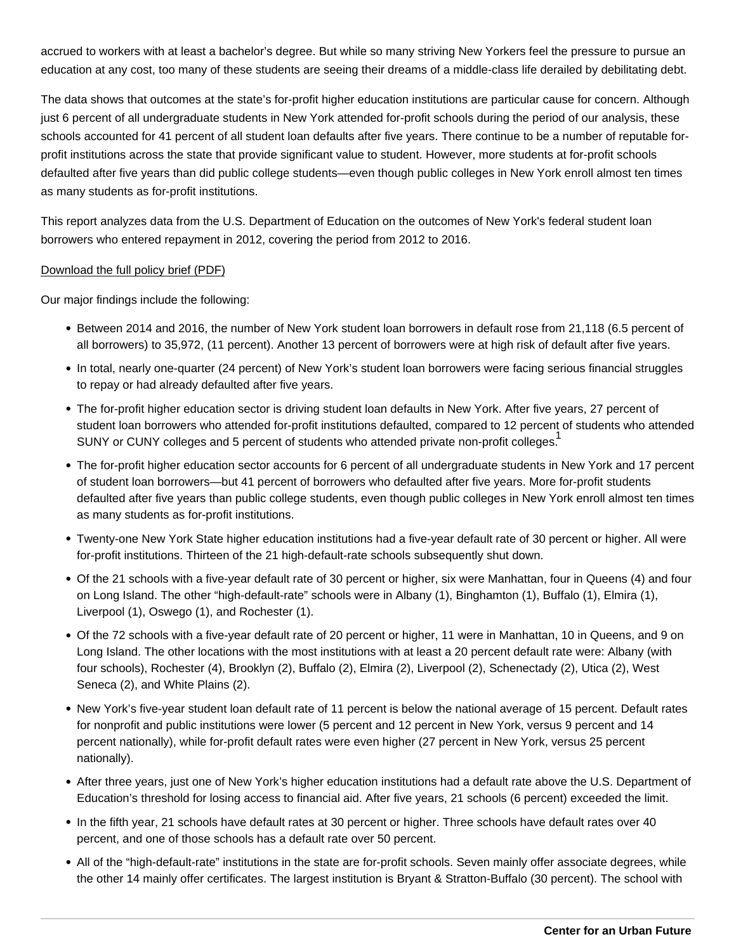accrued to workers with at least a bachelor's degree. But while so many striving New Yorkers feel the pressure to pursue an education at any cost, too many of these students are seeing their dreams of a middle-class life derailed by debilitating debt.

The data shows that outcomes at the state's for-profit higher education institutions are particular cause for concern. Although just 6 percent of all undergraduate students in New York attended for-profit schools during the period of our analysis, these schools accounted for 41 percent of all student loan defaults after five years. There continue to be a number of reputable forprofit institutions across the state that provide significant value to student. However, more students at for-profit schools defaulted after five years than did public college students—even though public colleges in New York enroll almost ten times as many students as for-profit institutions.

This report analyzes data from the U.S. Department of Education on the outcomes of New York's federal student loan borrowers who entered repayment in 2012, covering the period from 2012 to 2016.

#### [Download the full policy brief \(PDF\)](https://nycfuture.org/pdf/CUF_Deeper_in_Debt_Student_Loan_Default_Data_Brief.pdf)

Our major findings include the following:

- Between 2014 and 2016, the number of New York student loan borrowers in default rose from 21,118 (6.5 percent of all borrowers) to 35,972, (11 percent). Another 13 percent of borrowers were at high risk of default after five years.
- In total, nearly one-quarter (24 percent) of New York's student loan borrowers were facing serious financial struggles to repay or had already defaulted after five years.
- The for-profit higher education sector is driving student loan defaults in New York. After five years, 27 percent of student loan borrowers who attended for-profit institutions defaulted, compared to 12 percent of students who attended SUNY or CUNY colleges and 5 percent of students who attended private non-profit colleges.<sup>1</sup>
- The for-profit higher education sector accounts for 6 percent of all undergraduate students in New York and 17 percent of student loan borrowers—but 41 percent of borrowers who defaulted after five years. More for-profit students defaulted after five years than public college students, even though public colleges in New York enroll almost ten times as many students as for-profit institutions.
- Twenty-one New York State higher education institutions had a five-year default rate of 30 percent or higher. All were for-profit institutions. Thirteen of the 21 high-default-rate schools subsequently shut down.
- Of the 21 schools with a five-year default rate of 30 percent or higher, six were Manhattan, four in Queens (4) and four on Long Island. The other "high-default-rate" schools were in Albany (1), Binghamton (1), Buffalo (1), Elmira (1), Liverpool (1), Oswego (1), and Rochester (1).
- Of the 72 schools with a five-year default rate of 20 percent or higher, 11 were in Manhattan, 10 in Queens, and 9 on Long Island. The other locations with the most institutions with at least a 20 percent default rate were: Albany (with four schools), Rochester (4), Brooklyn (2), Buffalo (2), Elmira (2), Liverpool (2), Schenectady (2), Utica (2), West Seneca (2), and White Plains (2).
- New York's five-year student loan default rate of 11 percent is below the national average of 15 percent. Default rates for nonprofit and public institutions were lower (5 percent and 12 percent in New York, versus 9 percent and 14 percent nationally), while for-profit default rates were even higher (27 percent in New York, versus 25 percent nationally).
- After three years, just one of New York's higher education institutions had a default rate above the U.S. Department of Education's threshold for losing access to financial aid. After five years, 21 schools (6 percent) exceeded the limit.
- In the fifth year, 21 schools have default rates at 30 percent or higher. Three schools have default rates over 40 percent, and one of those schools has a default rate over 50 percent.
- All of the "high-default-rate" institutions in the state are for-profit schools. Seven mainly offer associate degrees, while the other 14 mainly offer certificates. The largest institution is Bryant & Stratton-Buffalo (30 percent). The school with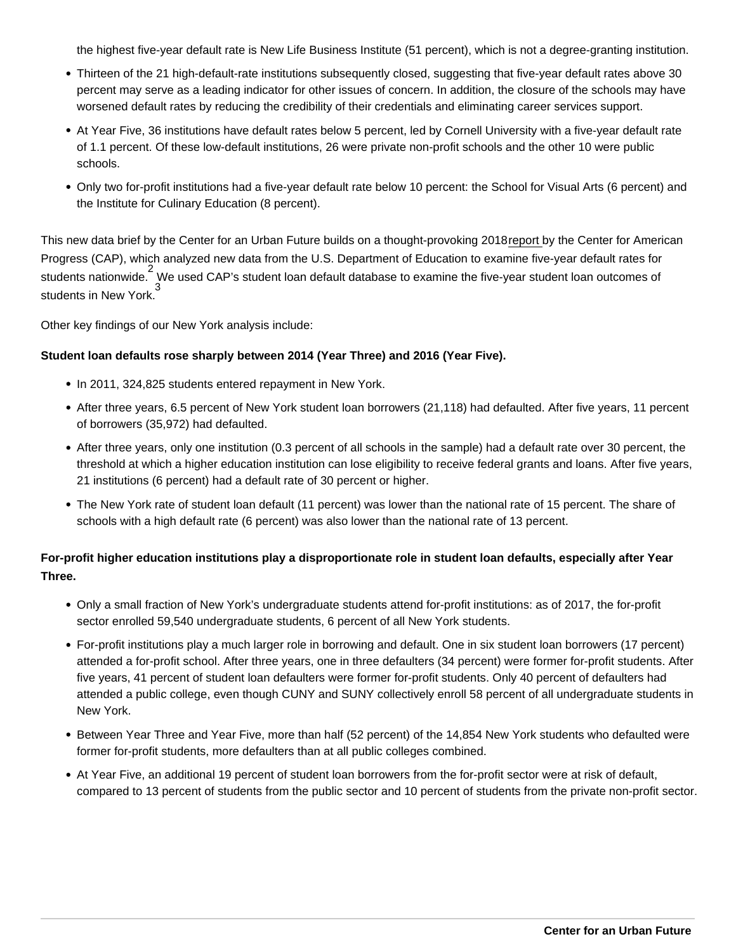the highest five-year default rate is New Life Business Institute (51 percent), which is not a degree-granting institution.

- Thirteen of the 21 high-default-rate institutions subsequently closed, suggesting that five-year default rates above 30 percent may serve as a leading indicator for other issues of concern. In addition, the closure of the schools may have worsened default rates by reducing the credibility of their credentials and eliminating career services support.
- At Year Five, 36 institutions have default rates below 5 percent, led by Cornell University with a five-year default rate of 1.1 percent. Of these low-default institutions, 26 were private non-profit schools and the other 10 were public schools.
- Only two for-profit institutions had a five-year default rate below 10 percent: the School for Visual Arts (6 percent) and the Institute for Culinary Education (8 percent).

This new data brief by the Center for an Urban Future builds on a thought-provoking 2018 [report](https://www.americanprogress.org/issues/education-postsecondary/news/2018/08/30/457302/cost-insufficient-student-loan-accountability/) by the Center for American Progress (CAP), which analyzed new data from the U.S. Department of Education to examine five-year default rates for students nationwide.<sup>2</sup> We used CAP's student loan default database to examine the five-year student loan outcomes of students in New York.<sup>3</sup>

Other key findings of our New York analysis include:

Student loan defaults rose sharply between 2014 (Year Three) and 2016 (Year Five).

- In 2011, 324,825 students entered repayment in New York.
- After three years, 6.5 percent of New York student loan borrowers (21,118) had defaulted. After five years, 11 percent of borrowers (35,972) had defaulted.
- After three years, only one institution (0.3 percent of all schools in the sample) had a default rate over 30 percent, the threshold at which a higher education institution can lose eligibility to receive federal grants and loans. After five years, 21 institutions (6 percent) had a default rate of 30 percent or higher.
- The New York rate of student loan default (11 percent) was lower than the national rate of 15 percent. The share of schools with a high default rate (6 percent) was also lower than the national rate of 13 percent.

For-profit higher education institutions play a disproportionate role in student loan defaults, especially after Year Three.

- Only a small fraction of New York's undergraduate students attend for-profit institutions: as of 2017, the for-profit sector enrolled 59,540 undergraduate students, 6 percent of all New York students.
- For-profit institutions play a much larger role in borrowing and default. One in six student loan borrowers (17 percent) attended a for-profit school. After three years, one in three defaulters (34 percent) were former for-profit students. After five years, 41 percent of student loan defaulters were former for-profit students. Only 40 percent of defaulters had attended a public college, even though CUNY and SUNY collectively enroll 58 percent of all undergraduate students in New York.
- Between Year Three and Year Five, more than half (52 percent) of the 14,854 New York students who defaulted were former for-profit students, more defaulters than at all public colleges combined.
- At Year Five, an additional 19 percent of student loan borrowers from the for-profit sector were at risk of default, compared to 13 percent of students from the public sector and 10 percent of students from the private non-profit sector.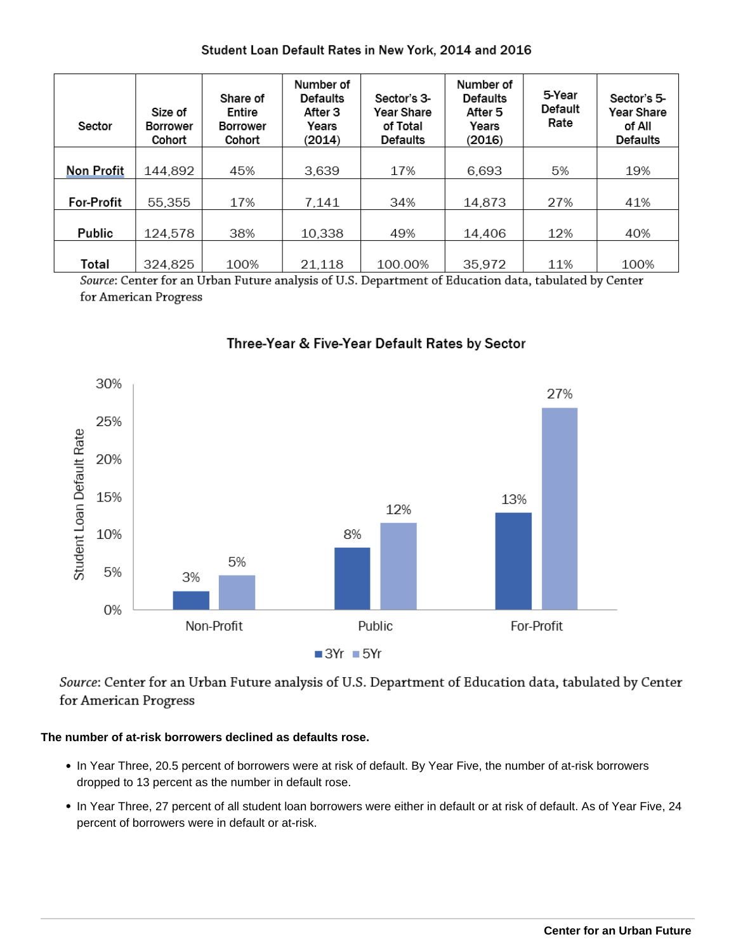# Student Loan Default Rates in New York, 2014 and 2016

| Sector            | Size of<br><b>Borrower</b><br>Cohort | Share of<br>Entire<br><b>Borrower</b><br>Cohort | Number of<br><b>Defaults</b><br>After 3<br>Years<br>(2014) | Sector's 3-<br>Year Share<br>of Total<br><b>Defaults</b> | Number of<br><b>Defaults</b><br>After 5<br>Years<br>(2016) | 5-Year<br>Default<br>Rate | Sector's 5-<br>Year Share<br>of All<br><b>Defaults</b> |
|-------------------|--------------------------------------|-------------------------------------------------|------------------------------------------------------------|----------------------------------------------------------|------------------------------------------------------------|---------------------------|--------------------------------------------------------|
| <b>Non Profit</b> | 144,892                              | 45%                                             | 3.639                                                      | 17%                                                      | 6,693                                                      | 5%                        | 19%                                                    |
| <b>For-Profit</b> | 55,355                               | 17%                                             | 7.141                                                      | 34%                                                      | 14,873                                                     | 27%                       | 41%                                                    |
| Public            | 124.578                              | 38%                                             | 10.338                                                     | 49%                                                      | 14.406                                                     | 12%                       | 40%                                                    |
| Total             | 324,825                              | 100%                                            | 21,118                                                     | 100.00%                                                  | 35.972                                                     | 11%                       | 100%                                                   |

Source: Center for an Urban Future analysis of U.S. Department of Education data, tabulated by Center for American Progress



# Three-Year & Five-Year Default Rates by Sector

Source: Center for an Urban Future analysis of U.S. Department of Education data, tabulated by Center for American Progress

## **The number of at-risk borrowers declined as defaults rose.**

- In Year Three, 20.5 percent of borrowers were at risk of default. By Year Five, the number of at-risk borrowers dropped to 13 percent as the number in default rose.
- In Year Three, 27 percent of all student loan borrowers were either in default or at risk of default. As of Year Five, 24 percent of borrowers were in default or at-risk.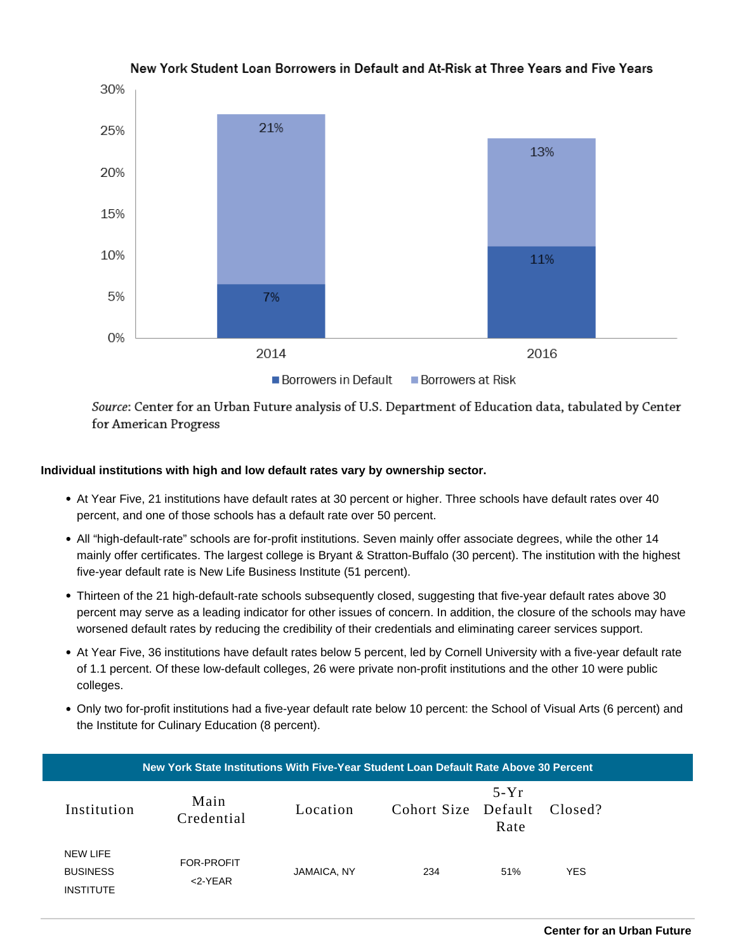

New York Student Loan Borrowers in Default and At-Risk at Three Years and Five Years

Source: Center for an Urban Future analysis of U.S. Department of Education data, tabulated by Center for American Progress

## **Individual institutions with high and low default rates vary by ownership sector.**

- At Year Five, 21 institutions have default rates at 30 percent or higher. Three schools have default rates over 40 percent, and one of those schools has a default rate over 50 percent.
- All "high-default-rate" schools are for-profit institutions. Seven mainly offer associate degrees, while the other 14 mainly offer certificates. The largest college is Bryant & Stratton-Buffalo (30 percent). The institution with the highest five-year default rate is New Life Business Institute (51 percent).
- Thirteen of the 21 high-default-rate schools subsequently closed, suggesting that five-year default rates above 30 percent may serve as a leading indicator for other issues of concern. In addition, the closure of the schools may have worsened default rates by reducing the credibility of their credentials and eliminating career services support.
- At Year Five, 36 institutions have default rates below 5 percent, led by Cornell University with a five-year default rate of 1.1 percent. Of these low-default colleges, 26 were private non-profit institutions and the other 10 were public colleges.
- Only two for-profit institutions had a five-year default rate below 10 percent: the School of Visual Arts (6 percent) and the Institute for Culinary Education (8 percent).

| New York State Institutions With Five-Year Student Loan Default Rate Above 30 Percent |                                                 |                          |             |                     |                |            |  |
|---------------------------------------------------------------------------------------|-------------------------------------------------|--------------------------|-------------|---------------------|----------------|------------|--|
|                                                                                       | Institution                                     | Main<br>Credential       | Location    | Cohort Size Default | $5-Yr$<br>Rate | Closed?    |  |
|                                                                                       | NEW LIFE<br><b>BUSINESS</b><br><b>INSTITUTE</b> | FOR-PROFIT<br>$<$ 2-YEAR | JAMAICA, NY | 234                 | 51%            | <b>YES</b> |  |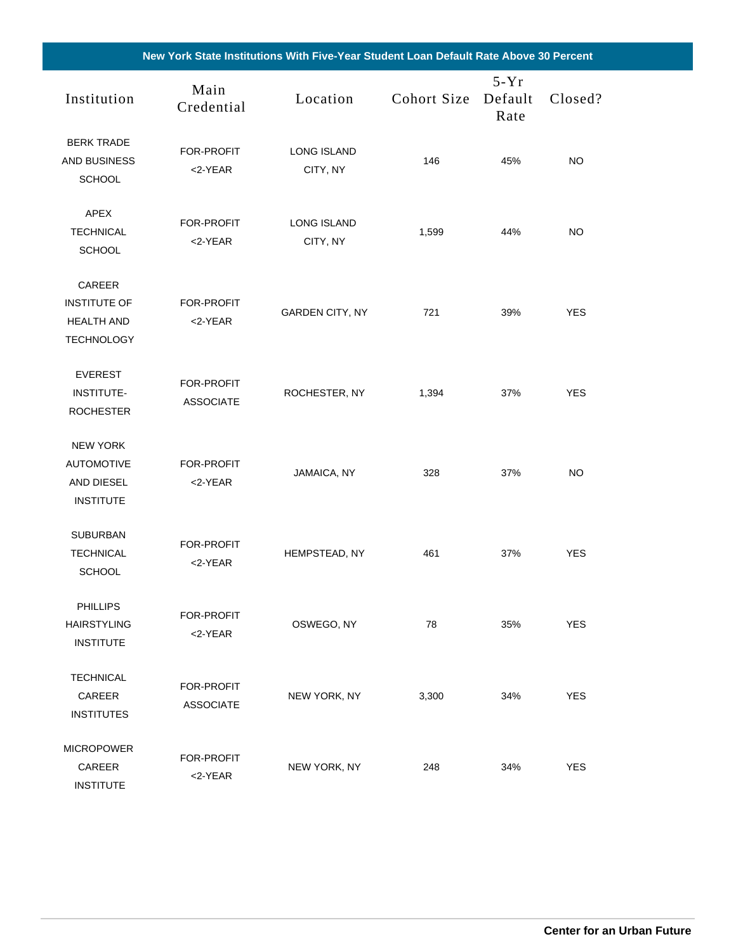| Institution                                                             | Main<br>Credential             | Location                       | Cohort Size | $5-Yr$<br>Default<br>Rate | Closed?    |  |
|-------------------------------------------------------------------------|--------------------------------|--------------------------------|-------------|---------------------------|------------|--|
| <b>BERK TRADE</b><br><b>AND BUSINESS</b><br><b>SCHOOL</b>               | FOR-PROFIT<br>$<$ 2-YEAR       | <b>LONG ISLAND</b><br>CITY, NY | 146         | 45%                       | NO         |  |
| <b>APEX</b><br><b>TECHNICAL</b><br><b>SCHOOL</b>                        | FOR-PROFIT<br><2-YEAR          | <b>LONG ISLAND</b><br>CITY, NY | 1,599       | 44%                       | NO.        |  |
| CAREER<br><b>INSTITUTE OF</b><br><b>HEALTH AND</b><br><b>TECHNOLOGY</b> | <b>FOR-PROFIT</b><br><2-YEAR   | <b>GARDEN CITY, NY</b>         | 721         | 39%                       | <b>YES</b> |  |
| <b>EVEREST</b><br><b>INSTITUTE-</b><br><b>ROCHESTER</b>                 | FOR-PROFIT<br><b>ASSOCIATE</b> | ROCHESTER, NY                  | 1,394       | 37%                       | <b>YES</b> |  |
| <b>NEW YORK</b><br><b>AUTOMOTIVE</b><br>AND DIESEL<br><b>INSTITUTE</b>  | FOR-PROFIT<br><2-YEAR          | JAMAICA, NY                    | 328         | 37%                       | NO         |  |
| <b>SUBURBAN</b><br><b>TECHNICAL</b><br><b>SCHOOL</b>                    | FOR-PROFIT<br>$<$ 2-YEAR       | HEMPSTEAD, NY                  | 461         | 37%                       | <b>YES</b> |  |
| <b>PHILLIPS</b><br><b>HAIRSTYLING</b><br><b>INSTITUTE</b>               | FOR-PROFIT<br><2-YEAR          | OSWEGO, NY                     | 78          | 35%                       | <b>YES</b> |  |
| <b>TECHNICAL</b><br>CAREER<br><b>INSTITUTES</b>                         | FOR-PROFIT<br><b>ASSOCIATE</b> | NEW YORK, NY                   | 3,300       | 34%                       | <b>YES</b> |  |
| <b>MICROPOWER</b><br>CAREER<br><b>INSTITUTE</b>                         | FOR-PROFIT<br><2-YEAR          | NEW YORK, NY                   | 248         | 34%                       | <b>YES</b> |  |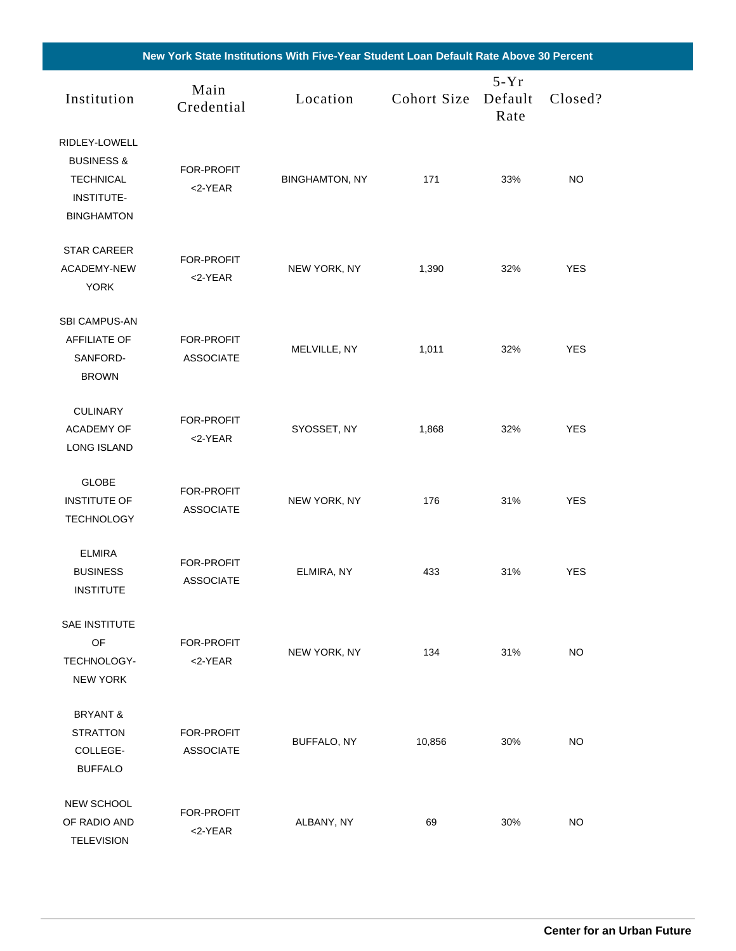| New York State Institutions With Five-Year Student Loan Default Rate Above 30 Percent                |                                |                       |             |                           |            |  |
|------------------------------------------------------------------------------------------------------|--------------------------------|-----------------------|-------------|---------------------------|------------|--|
| Institution                                                                                          | Main<br>Credential             | Location              | Cohort Size | $5-Yr$<br>Default<br>Rate | Closed?    |  |
| RIDLEY-LOWELL<br><b>BUSINESS &amp;</b><br><b>TECHNICAL</b><br><b>INSTITUTE-</b><br><b>BINGHAMTON</b> | FOR-PROFIT<br>$<$ 2-YEAR       | <b>BINGHAMTON, NY</b> | 171         | 33%                       | <b>NO</b>  |  |
| <b>STAR CAREER</b><br>ACADEMY-NEW<br><b>YORK</b>                                                     | FOR-PROFIT<br>$<$ 2-YEAR       | NEW YORK, NY          | 1,390       | 32%                       | <b>YES</b> |  |
| <b>SBI CAMPUS-AN</b><br><b>AFFILIATE OF</b><br>SANFORD-<br><b>BROWN</b>                              | FOR-PROFIT<br><b>ASSOCIATE</b> | MELVILLE, NY          | 1,011       | 32%                       | <b>YES</b> |  |
| <b>CULINARY</b><br><b>ACADEMY OF</b><br><b>LONG ISLAND</b>                                           | FOR-PROFIT<br>$<$ 2-YEAR       | SYOSSET, NY           | 1,868       | 32%                       | <b>YES</b> |  |
| <b>GLOBE</b><br><b>INSTITUTE OF</b><br><b>TECHNOLOGY</b>                                             | FOR-PROFIT<br><b>ASSOCIATE</b> | NEW YORK, NY          | 176         | 31%                       | <b>YES</b> |  |
| <b>ELMIRA</b><br><b>BUSINESS</b><br><b>INSTITUTE</b>                                                 | FOR-PROFIT<br><b>ASSOCIATE</b> | ELMIRA, NY            | 433         | 31%                       | <b>YES</b> |  |
| SAE INSTITUTE<br>OF<br>TECHNOLOGY-<br><b>NEW YORK</b>                                                | FOR-PROFIT<br>$<$ 2-YEAR       | NEW YORK, NY          | 134         | 31%                       | <b>NO</b>  |  |
| <b>BRYANT &amp;</b><br><b>STRATTON</b><br>COLLEGE-<br><b>BUFFALO</b>                                 | FOR-PROFIT<br><b>ASSOCIATE</b> | BUFFALO, NY           | 10,856      | 30%                       | NO         |  |
| <b>NEW SCHOOL</b><br>OF RADIO AND<br><b>TELEVISION</b>                                               | FOR-PROFIT<br><2-YEAR          | ALBANY, NY            | 69          | 30%                       | <b>NO</b>  |  |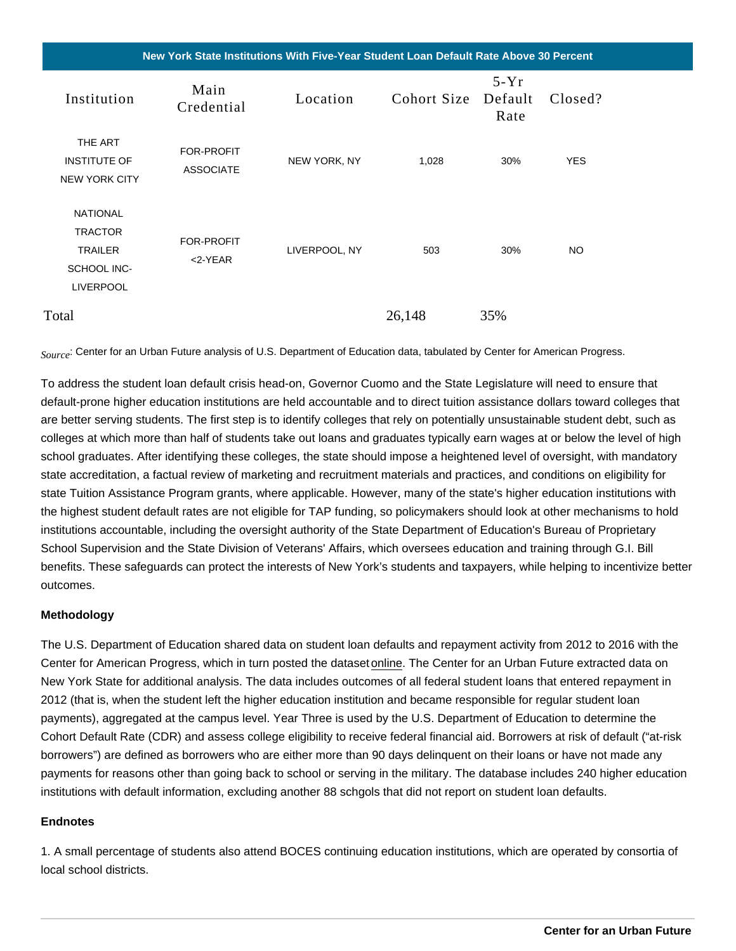New York State Institutions With Five-Year Student Loan Default Rate Above 30 Percent

| Institution                                                                                   | Main<br>Credential                    | Location      | Cohort Size Default Closed? | $5-Yr$<br>Rate |            |
|-----------------------------------------------------------------------------------------------|---------------------------------------|---------------|-----------------------------|----------------|------------|
| THE ART<br><b>INSTITUTE OF</b><br><b>NEW YORK CITY</b>                                        | <b>FOR-PROFIT</b><br><b>ASSOCIATE</b> | NEW YORK, NY  | 1,028                       | 30%            | <b>YES</b> |
| <b>NATIONAL</b><br><b>TRACTOR</b><br><b>TRAILER</b><br><b>SCHOOL INC-</b><br><b>LIVERPOOL</b> | <b>FOR-PROFIT</b><br>$<$ 2-YEAR       | LIVERPOOL, NY | 503                         | 30%            | <b>NO</b>  |
| Total                                                                                         |                                       |               | 26,148                      | 35%            |            |

Source: Center for an Urban Future analysis of U.S. Department of Education data, tabulated by Center for American Progress.

To address the student loan default crisis head-on, Governor Cuomo and the State Legislature will need to ensure that default-prone higher education institutions are held accountable and to direct tuition assistance dollars toward colleges that are better serving students. The first step is to identify colleges that rely on potentially unsustainable student debt, such as colleges at which more than half of students take out loans and graduates typically earn wages at or below the level of high school graduates. After identifying these colleges, the state should impose a heightened level of oversight, with mandatory state accreditation, a factual review of marketing and recruitment materials and practices, and conditions on eligibility for state Tuition Assistance Program grants, where applicable. However, many of the state's higher education institutions with the highest student default rates are not eligible for TAP funding, so policymakers should look at other mechanisms to hold institutions accountable, including the oversight authority of the State Department of Education's Bureau of Proprietary School Supervision and the State Division of Veterans' Affairs, which oversees education and training through G.I. Bill benefits. These safeguards can protect the interests of New York's students and taxpayers, while helping to incentivize better outcomes.

#### Methodology

The U.S. Department of Education shared data on student loan defaults and repayment activity from 2012 to 2016 with the Center for American Progress, which in turn posted the dataset [online.](https://cdn.americanprogress.org/content/uploads/2018/08/08-29-18_Five_year_repayment_rate_data.xls) The Center for an Urban Future extracted data on New York State for additional analysis. The data includes outcomes of all federal student loans that entered repayment in 2012 (that is, when the student left the higher education institution and became responsible for regular student loan payments), aggregated at the campus level. Year Three is used by the U.S. Department of Education to determine the Cohort Default Rate (CDR) and assess college eligibility to receive federal financial aid. Borrowers at risk of default ("at-risk borrowers") are defined as borrowers who are either more than 90 days delinquent on their loans or have not made any payments for reasons other than going back to school or serving in the military. The database includes 240 higher education institutions with default information, excluding another 88 schgols that did not report on student loan defaults.

#### **Endnotes**

1. A small percentage of students also attend BOCES continuing education institutions, which are operated by consortia of local school districts.